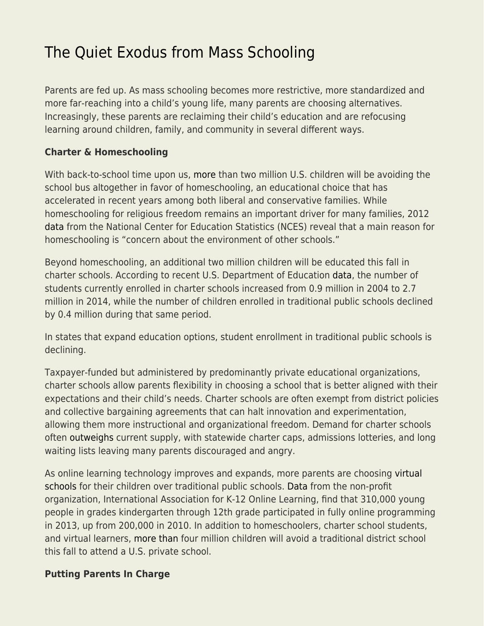## [The Quiet Exodus from Mass Schooling](https://everything-voluntary.com/quiet-exodus-mass-schooling)

Parents are fed up. As mass schooling becomes more restrictive, more standardized and more far-reaching into a child's young life, many parents are choosing alternatives. Increasingly, these parents are reclaiming their child's education and are refocusing learning around children, family, and community in several different ways.

## **Charter & Homeschooling**

With back-to-school time upon us, [more](https://www.nheri.org/research/research-facts-on-homeschooling.html) than two million U.S. children will be avoiding the school bus altogether in favor of homeschooling, an educational choice that has accelerated in recent years among both liberal and conservative families. While homeschooling for religious freedom remains an important driver for many families, 2012 [data](https://nces.ed.gov/pubsearch/pubsinfo.asp?pubid=2016096rev) from the National Center for Education Statistics (NCES) reveal that a main reason for homeschooling is "concern about the environment of other schools."

Beyond homeschooling, an additional two million children will be educated this fall in charter schools. According to recent U.S. Department of Education [data](https://nces.ed.gov/programs/coe/indicator_cgb.asp), the number of students currently enrolled in charter schools increased from 0.9 million in 2004 to 2.7 million in 2014, while the number of children enrolled in traditional public schools declined by 0.4 million during that same period.

In states that expand education options, student enrollment in traditional public schools is declining.

Taxpayer-funded but administered by predominantly private educational organizations, charter schools allow parents flexibility in choosing a school that is better aligned with their expectations and their child's needs. Charter schools are often exempt from district policies and collective bargaining agreements that can halt innovation and experimentation, allowing them more instructional and organizational freedom. Demand for charter schools often [outweighs](http://www.nydailynews.com/opinion/eliminate-new-york-charter-school-cap-article-1.3226613) current supply, with statewide charter caps, admissions lotteries, and long waiting lists leaving many parents discouraged and angry.

As online learning technology improves and expands, more parents are choosing [virtual](http://www.intellectualtakeout.org/article/virtual-schooling-surging) [schools](http://www.intellectualtakeout.org/article/virtual-schooling-surging) for their children over traditional public schools. [Data](https://www.inacol.org/resource/fast-facts-about-online-learning/) from the non-profit organization, International Association for K-12 Online Learning, find that 310,000 young people in grades kindergarten through 12th grade participated in fully online programming in 2013, up from 200,000 in 2010. In addition to homeschoolers, charter school students, and virtual learners, [more than](https://www2.ed.gov/about/offices/list/oii/nonpublic/statistics.html) four million children will avoid a traditional district school this fall to attend a U.S. private school.

## **Putting Parents In Charge**